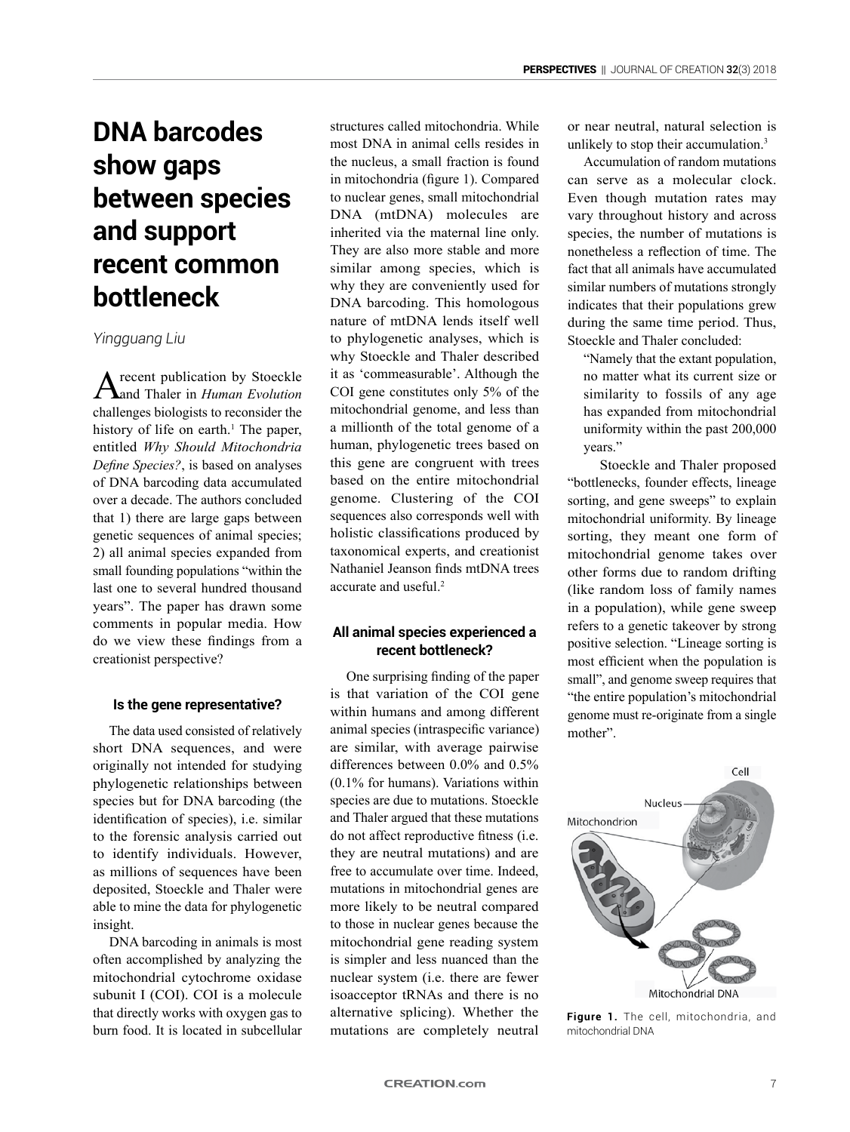# **DNA barcodes show gaps between species and support recent common bottleneck**

*Yingguang Liu*

A recent publication by Stoeckle and Thaler in *Human Evolution* challenges biologists to reconsider the history of life on earth.<sup>1</sup> The paper, entitled *Why Should Mitochondria Define Species?*, is based on analyses of DNA barcoding data accumulated over a decade. The authors concluded that 1) there are large gaps between genetic sequences of animal species; 2) all animal species expanded from small founding populations "within the last one to several hundred thousand years". The paper has drawn some comments in popular media. How do we view these findings from a creationist perspective?

#### **Is the gene representative?**

The data used consisted of relatively short DNA sequences, and were originally not intended for studying phylogenetic relationships between species but for DNA barcoding (the identification of species), i.e. similar to the forensic analysis carried out to identify individuals. However, as millions of sequences have been deposited, Stoeckle and Thaler were able to mine the data for phylogenetic insight.

DNA barcoding in animals is most often accomplished by analyzing the mitochondrial cytochrome oxidase subunit I (COI). COI is a molecule that directly works with oxygen gas to burn food. It is located in subcellular structures called mitochondria. While most DNA in animal cells resides in the nucleus, a small fraction is found in mitochondria (figure 1). Compared to nuclear genes, small mitochondrial DNA (mtDNA) molecules are inherited via the maternal line only. They are also more stable and more similar among species, which is why they are conveniently used for DNA barcoding. This homologous nature of mtDNA lends itself well to phylogenetic analyses, which is why Stoeckle and Thaler described it as 'commeasurable'. Although the COI gene constitutes only 5% of the mitochondrial genome, and less than a millionth of the total genome of a human, phylogenetic trees based on this gene are congruent with trees based on the entire mitochondrial genome. Clustering of the COI sequences also corresponds well with holistic classifications produced by taxonomical experts, and creationist Nathaniel Jeanson finds mtDNA trees accurate and useful.<sup>2</sup>

## **All animal species experienced a recent bottleneck?**

One surprising finding of the paper is that variation of the COI gene within humans and among different animal species (intraspecific variance) are similar, with average pairwise differences between 0.0% and 0.5% (0.1% for humans). Variations within species are due to mutations. Stoeckle and Thaler argued that these mutations do not affect reproductive fitness (i.e. they are neutral mutations) and are free to accumulate over time. Indeed, mutations in mitochondrial genes are more likely to be neutral compared to those in nuclear genes because the mitochondrial gene reading system is simpler and less nuanced than the nuclear system (i.e. there are fewer isoacceptor tRNAs and there is no alternative splicing). Whether the mutations are completely neutral

or near neutral, natural selection is unlikely to stop their accumulation.3

Accumulation of random mutations can serve as a molecular clock. Even though mutation rates may vary throughout history and across species, the number of mutations is nonetheless a reflection of time. The fact that all animals have accumulated similar numbers of mutations strongly indicates that their populations grew during the same time period. Thus, Stoeckle and Thaler concluded:

"Namely that the extant population, no matter what its current size or similarity to fossils of any age has expanded from mitochondrial uniformity within the past 200,000 years."

Stoeckle and Thaler proposed "bottlenecks, founder effects, lineage sorting, and gene sweeps" to explain mitochondrial uniformity. By lineage sorting, they meant one form of mitochondrial genome takes over other forms due to random drifting (like random loss of family names in a population), while gene sweep refers to a genetic takeover by strong positive selection. "Lineage sorting is most efficient when the population is small", and genome sweep requires that "the entire population's mitochondrial genome must re-originate from a single mother".



**Figure 1.** The cell, mitochondria, and mitochondrial DNA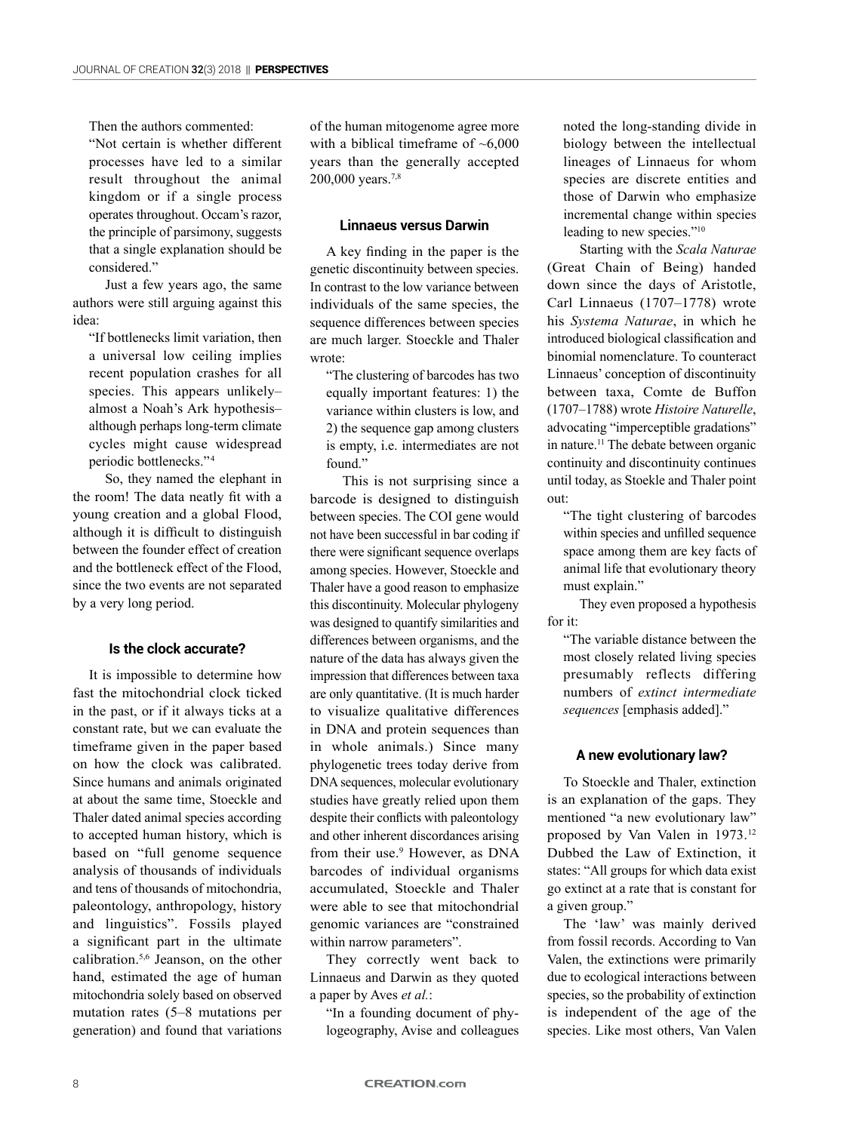Then the authors commented:

"Not certain is whether different processes have led to a similar result throughout the animal kingdom or if a single process operates throughout. Occam's razor, the principle of parsimony, suggests that a single explanation should be considered."

Just a few years ago, the same authors were still arguing against this idea:

"If bottlenecks limit variation, then a universal low ceiling implies recent population crashes for all species. This appears unlikely– almost a Noah's Ark hypothesis– although perhaps long-term climate cycles might cause widespread periodic bottlenecks."<sup>4</sup>

So, they named the elephant in the room! The data neatly fit with a young creation and a global Flood, although it is difficult to distinguish between the founder effect of creation and the bottleneck effect of the Flood, since the two events are not separated by a very long period.

#### **Is the clock accurate?**

It is impossible to determine how fast the mitochondrial clock ticked in the past, or if it always ticks at a constant rate, but we can evaluate the timeframe given in the paper based on how the clock was calibrated. Since humans and animals originated at about the same time, Stoeckle and Thaler dated animal species according to accepted human history, which is based on "full genome sequence analysis of thousands of individuals and tens of thousands of mitochondria, paleontology, anthropology, history and linguistics". Fossils played a significant part in the ultimate calibration.5,6 Jeanson, on the other hand, estimated the age of human mitochondria solely based on observed mutation rates (5–8 mutations per generation) and found that variations

of the human mitogenome agree more with a biblical timeframe of  $~5,000$ years than the generally accepted 200,000 years.7,8

### **Linnaeus versus Darwin**

A key finding in the paper is the genetic discontinuity between species. In contrast to the low variance between individuals of the same species, the sequence differences between species are much larger. Stoeckle and Thaler wrote:

"The clustering of barcodes has two equally important features: 1) the variance within clusters is low, and 2) the sequence gap among clusters is empty, i.e. intermediates are not found."

This is not surprising since a barcode is designed to distinguish between species. The COI gene would not have been successful in bar coding if there were significant sequence overlaps among species. However, Stoeckle and Thaler have a good reason to emphasize this discontinuity. Molecular phylogeny was designed to quantify similarities and differences between organisms, and the nature of the data has always given the impression that differences between taxa are only quantitative. (It is much harder to visualize qualitative differences in DNA and protein sequences than in whole animals.) Since many phylogenetic trees today derive from DNA sequences, molecular evolutionary studies have greatly relied upon them despite their conflicts with paleontology and other inherent discordances arising from their use.<sup>9</sup> However, as DNA barcodes of individual organisms accumulated, Stoeckle and Thaler were able to see that mitochondrial genomic variances are "constrained within narrow parameters".

They correctly went back to Linnaeus and Darwin as they quoted a paper by Aves *et al.*:

"In a founding document of phylogeography, Avise and colleagues noted the long-standing divide in biology between the intellectual lineages of Linnaeus for whom species are discrete entities and those of Darwin who emphasize incremental change within species leading to new species."10

Starting with the *Scala Naturae* (Great Chain of Being) handed down since the days of Aristotle, Carl Linnaeus (1707–1778) wrote his *Systema Naturae*, in which he introduced biological classification and binomial nomenclature. To counteract Linnaeus' conception of discontinuity between taxa, Comte de Buffon (1707–1788) wrote *Histoire Naturelle*, advocating "imperceptible gradations" in nature.<sup>11</sup> The debate between organic continuity and discontinuity continues until today, as Stoekle and Thaler point out:

"The tight clustering of barcodes within species and unfilled sequence space among them are key facts of animal life that evolutionary theory must explain."

They even proposed a hypothesis for it:

"The variable distance between the most closely related living species presumably reflects differing numbers of *extinct intermediate sequences* [emphasis added]."

#### **A new evolutionary law?**

To Stoeckle and Thaler, extinction is an explanation of the gaps. They mentioned "a new evolutionary law" proposed by Van Valen in 1973.12 Dubbed the Law of Extinction, it states: "All groups for which data exist go extinct at a rate that is constant for a given group."

The 'law' was mainly derived from fossil records. According to Van Valen, the extinctions were primarily due to ecological interactions between species, so the probability of extinction is independent of the age of the species. Like most others, Van Valen